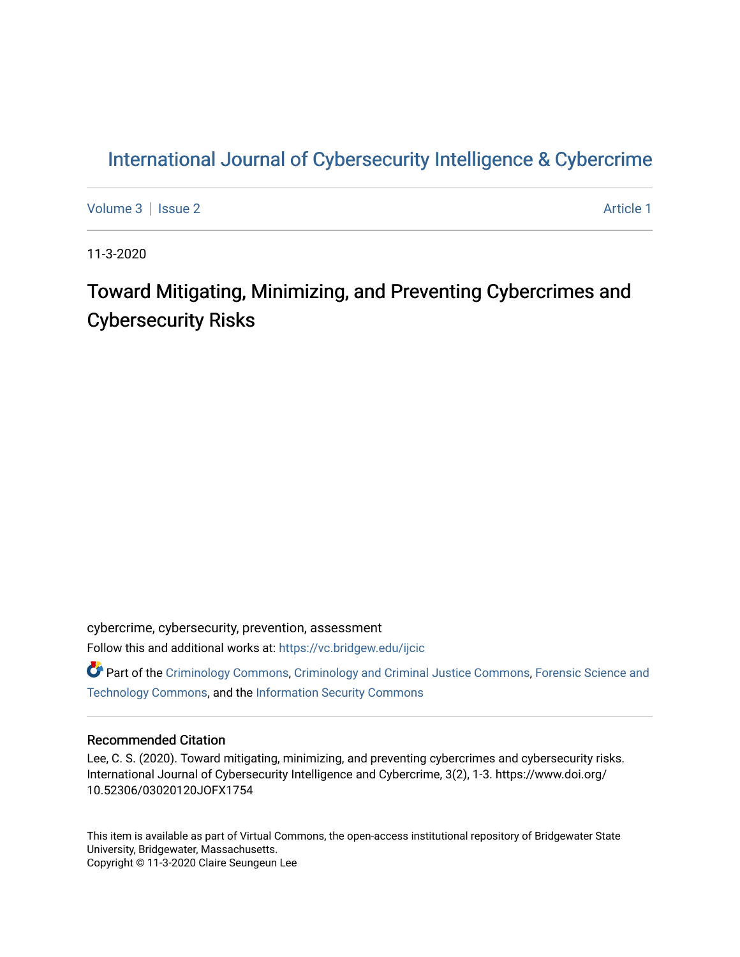# [International Journal of Cybersecurity Intelligence & Cybercrime](https://vc.bridgew.edu/ijcic)

[Volume 3](https://vc.bridgew.edu/ijcic/vol3) | [Issue 2](https://vc.bridgew.edu/ijcic/vol3/iss2) Article 1

11-3-2020

# Toward Mitigating, Minimizing, and Preventing Cybercrimes and Cybersecurity Risks

cybercrime, cybersecurity, prevention, assessment Follow this and additional works at: [https://vc.bridgew.edu/ijcic](https://vc.bridgew.edu/ijcic?utm_source=vc.bridgew.edu%2Fijcic%2Fvol3%2Fiss2%2F1&utm_medium=PDF&utm_campaign=PDFCoverPages) 

**C** Part of the [Criminology Commons](https://network.bepress.com/hgg/discipline/417?utm_source=vc.bridgew.edu%2Fijcic%2Fvol3%2Fiss2%2F1&utm_medium=PDF&utm_campaign=PDFCoverPages), [Criminology and Criminal Justice Commons,](https://network.bepress.com/hgg/discipline/367?utm_source=vc.bridgew.edu%2Fijcic%2Fvol3%2Fiss2%2F1&utm_medium=PDF&utm_campaign=PDFCoverPages) Forensic Science and [Technology Commons,](https://network.bepress.com/hgg/discipline/1277?utm_source=vc.bridgew.edu%2Fijcic%2Fvol3%2Fiss2%2F1&utm_medium=PDF&utm_campaign=PDFCoverPages) and the [Information Security Commons](https://network.bepress.com/hgg/discipline/1247?utm_source=vc.bridgew.edu%2Fijcic%2Fvol3%2Fiss2%2F1&utm_medium=PDF&utm_campaign=PDFCoverPages) 

## Recommended Citation

Lee, C. S. (2020). Toward mitigating, minimizing, and preventing cybercrimes and cybersecurity risks. International Journal of Cybersecurity Intelligence and Cybercrime, 3(2), 1-3. https://www.doi.org/ 10.52306/03020120JOFX1754

This item is available as part of Virtual Commons, the open-access institutional repository of Bridgewater State University, Bridgewater, Massachusetts. Copyright © 11-3-2020 Claire Seungeun Lee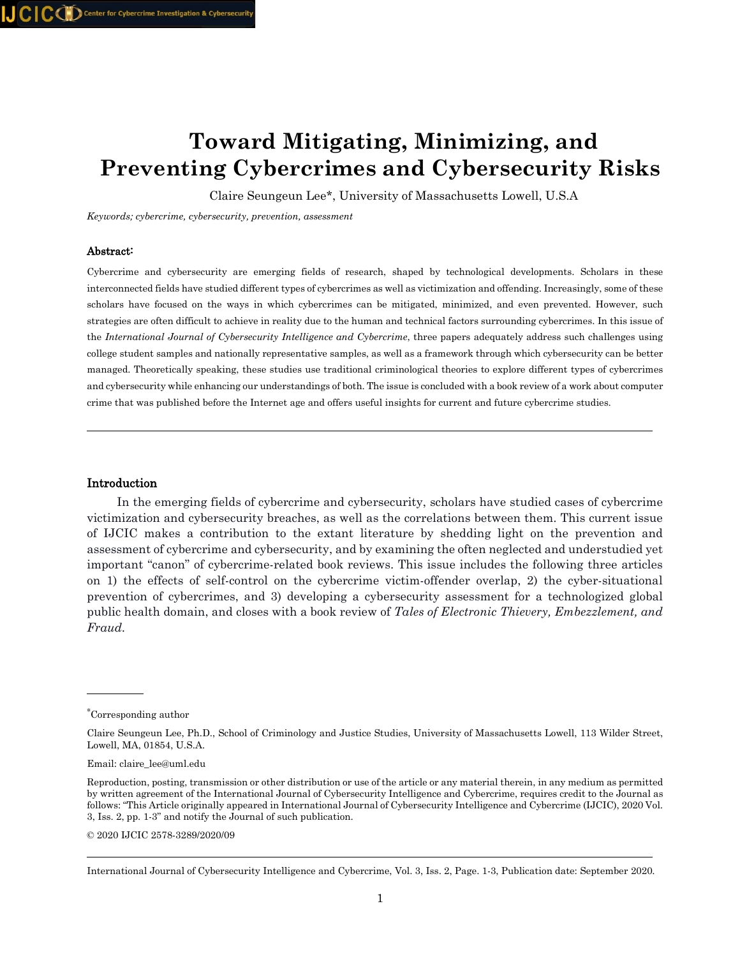# **Toward Mitigating, Minimizing, and Preventing Cybercrimes and Cybersecurity Risks**

Claire Seungeun Lee\*, University of Massachusetts Lowell, U.S.A

*Keywords; cybercrime, cybersecurity, prevention, assessment*

#### Abstract:

Cybercrime and cybersecurity are emerging fields of research, shaped by technological developments. Scholars in these interconnected fields have studied different types of cybercrimes as well as victimization and offending. Increasingly, some of these scholars have focused on the ways in which cybercrimes can be mitigated, minimized, and even prevented. However, such strategies are often difficult to achieve in reality due to the human and technical factors surrounding cybercrimes. In this issue of the *International Journal of Cybersecurity Intelligence and Cybercrime*, three papers adequately address such challenges using college student samples and nationally representative samples, as well as a framework through which cybersecurity can be better managed. Theoretically speaking, these studies use traditional criminological theories to explore different types of cybercrimes and cybersecurity while enhancing our understandings of both. The issue is concluded with a book review of a work about computer crime that was published before the Internet age and offers useful insights for current and future cybercrime studies.

#### Introduction

 In the emerging fields of cybercrime and cybersecurity, scholars have studied cases of cybercrime victimization and cybersecurity breaches, as well as the correlations between them. This current issue of IJCIC makes a contribution to the extant literature by shedding light on the prevention and assessment of cybercrime and cybersecurity, and by examining the often neglected and understudied yet important "canon" of cybercrime-related book reviews. This issue includes the following three articles on 1) the effects of self-control on the cybercrime victim-offender overlap, 2) the cyber-situational prevention of cybercrimes, and 3) developing a cybersecurity assessment for a technologized global public health domain, and closes with a book review of *Tales of Electronic Thievery, Embezzlement, and Fraud.*

© 2020 IJCIC 2578-3289/2020/09

<sup>∗</sup> Corresponding author

Claire Seungeun Lee, Ph.D., School of Criminology and Justice Studies, University of Massachusetts Lowell, 113 Wilder Street, Lowell, MA, 01854, U.S.A.

Email: claire\_lee@uml.edu

Reproduction, posting, transmission or other distribution or use of the article or any material therein, in any medium as permitted by written agreement of the International Journal of Cybersecurity Intelligence and Cybercrime, requires credit to the Journal as follows: "This Article originally appeared in International Journal of Cybersecurity Intelligence and Cybercrime (IJCIC), 2020 Vol. 3, Iss. 2, pp. 1-3" and notify the Journal of such publication.

International Journal of Cybersecurity Intelligence and Cybercrime, Vol. 3, Iss. 2, Page. 1-3, Publication date: September 2020.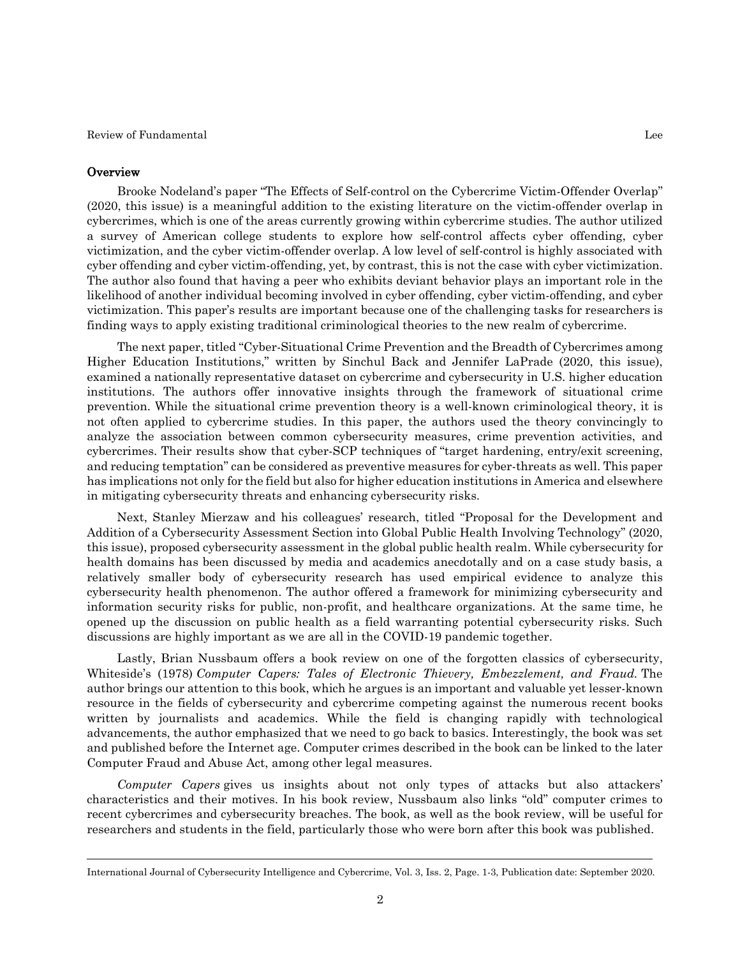Review of Fundamental Lee

### **Overview**

 Brooke Nodeland's paper "The Effects of Self-control on the Cybercrime Victim-Offender Overlap" (2020, this issue) is a meaningful addition to the existing literature on the victim-offender overlap in cybercrimes, which is one of the areas currently growing within cybercrime studies. The author utilized a survey of American college students to explore how self-control affects cyber offending, cyber victimization, and the cyber victim-offender overlap. A low level of self-control is highly associated with cyber offending and cyber victim-offending, yet, by contrast, this is not the case with cyber victimization. The author also found that having a peer who exhibits deviant behavior plays an important role in the likelihood of another individual becoming involved in cyber offending, cyber victim-offending, and cyber victimization. This paper's results are important because one of the challenging tasks for researchers is finding ways to apply existing traditional criminological theories to the new realm of cybercrime.

 The next paper, titled "Cyber-Situational Crime Prevention and the Breadth of Cybercrimes among Higher Education Institutions," written by Sinchul Back and Jennifer LaPrade (2020, this issue), examined a nationally representative dataset on cybercrime and cybersecurity in U.S. higher education institutions. The authors offer innovative insights through the framework of situational crime prevention. While the situational crime prevention theory is a well-known criminological theory, it is not often applied to cybercrime studies. In this paper, the authors used the theory convincingly to analyze the association between common cybersecurity measures, crime prevention activities, and cybercrimes. Their results show that cyber-SCP techniques of "target hardening, entry/exit screening, and reducing temptation" can be considered as preventive measures for cyber-threats as well. This paper has implications not only for the field but also for higher education institutions in America and elsewhere in mitigating cybersecurity threats and enhancing cybersecurity risks.

 Next, Stanley Mierzaw and his colleagues' research, titled "Proposal for the Development and Addition of a Cybersecurity Assessment Section into Global Public Health Involving Technology" (2020, this issue), proposed cybersecurity assessment in the global public health realm. While cybersecurity for health domains has been discussed by media and academics anecdotally and on a case study basis, a relatively smaller body of cybersecurity research has used empirical evidence to analyze this cybersecurity health phenomenon. The author offered a framework for minimizing cybersecurity and information security risks for public, non-profit, and healthcare organizations. At the same time, he opened up the discussion on public health as a field warranting potential cybersecurity risks. Such discussions are highly important as we are all in the COVID-19 pandemic together.

 Lastly, Brian Nussbaum offers a book review on one of the forgotten classics of cybersecurity, Whiteside's (1978) *Computer Capers: Tales of Electronic Thievery, Embezzlement, and Fraud.* The author brings our attention to this book, which he argues is an important and valuable yet lesser-known resource in the fields of cybersecurity and cybercrime competing against the numerous recent books written by journalists and academics. While the field is changing rapidly with technological advancements, the author emphasized that we need to go back to basics. Interestingly, the book was set and published before the Internet age. Computer crimes described in the book can be linked to the later Computer Fraud and Abuse Act, among other legal measures.

 *Computer Capers* gives us insights about not only types of attacks but also attackers' characteristics and their motives. In his book review, Nussbaum also links "old" computer crimes to recent cybercrimes and cybersecurity breaches. The book, as well as the book review, will be useful for researchers and students in the field, particularly those who were born after this book was published.

International Journal of Cybersecurity Intelligence and Cybercrime, Vol. 3, Iss. 2, Page. 1-3, Publication date: September 2020.